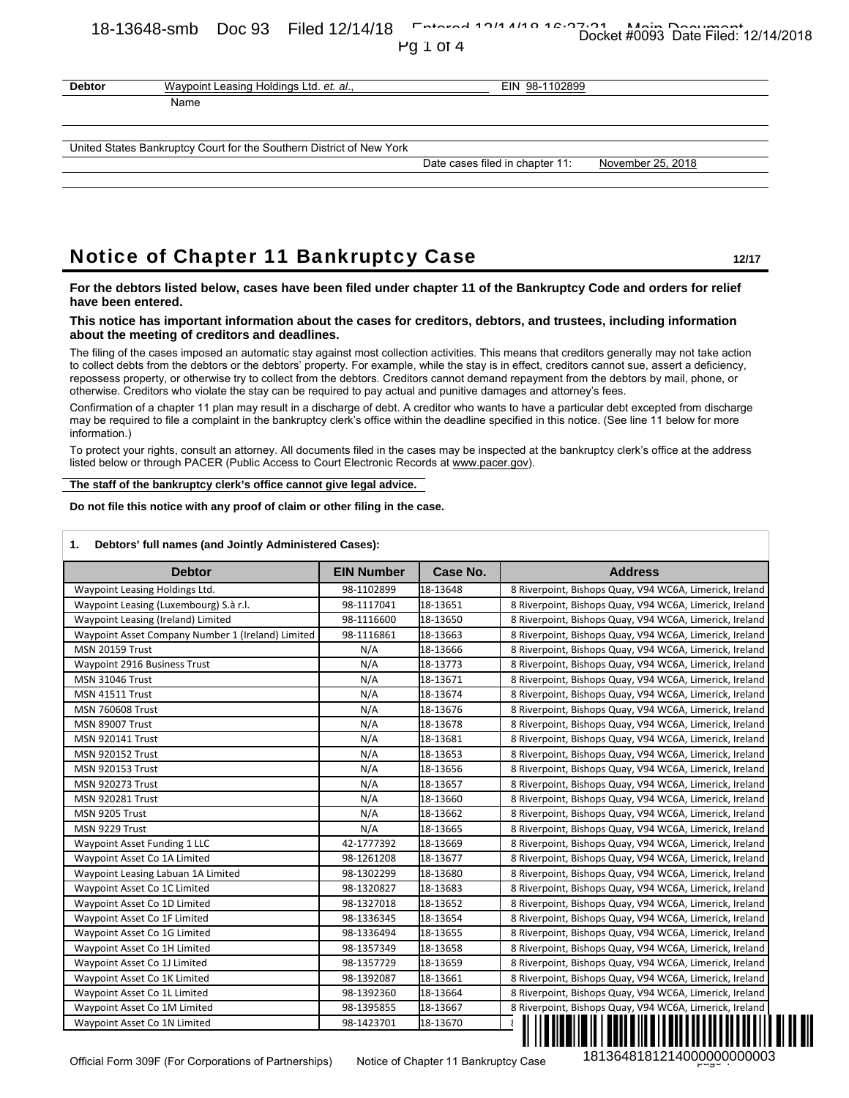# 18-13648-smb Doc 93 Filed 12/14/18 Entered 12/14/18 Docket #0093 Date Filed: 12/14/2018

| ΩÚ | L | π<br>)Γ<br>C |  |
|----|---|--------------|--|
|----|---|--------------|--|

| <b>Debtor</b> | Waypoint Leasing Holdings Ltd. et. al.,                              | EIN 98-1102899                  |                   |
|---------------|----------------------------------------------------------------------|---------------------------------|-------------------|
|               | Name                                                                 |                                 |                   |
|               |                                                                      |                                 |                   |
|               | United States Bankruptcy Court for the Southern District of New York |                                 |                   |
|               |                                                                      | Date cases filed in chapter 11: | November 25, 2018 |

## Notice of Chapter 11 Bankruptcy Case **12/17** 12/17

#### **This notice has important information about the cases for creditors, debtors, and trustees, including information about the meeting of creditors and deadlines.**

| <b>Debtor</b><br>Waypoint Leasing Holdings Ltd. et. al.,                                                                                                                                                                                                                                                                                                                                                                                                                                                                                                                                                                                                                                                                                                                                                                                                                                                                             |                          |                      | EIN 98-1102899                                                                                                                                                                                                                                                                                      |
|--------------------------------------------------------------------------------------------------------------------------------------------------------------------------------------------------------------------------------------------------------------------------------------------------------------------------------------------------------------------------------------------------------------------------------------------------------------------------------------------------------------------------------------------------------------------------------------------------------------------------------------------------------------------------------------------------------------------------------------------------------------------------------------------------------------------------------------------------------------------------------------------------------------------------------------|--------------------------|----------------------|-----------------------------------------------------------------------------------------------------------------------------------------------------------------------------------------------------------------------------------------------------------------------------------------------------|
| Name                                                                                                                                                                                                                                                                                                                                                                                                                                                                                                                                                                                                                                                                                                                                                                                                                                                                                                                                 |                          |                      |                                                                                                                                                                                                                                                                                                     |
| United States Bankruptcy Court for the Southern District of New York                                                                                                                                                                                                                                                                                                                                                                                                                                                                                                                                                                                                                                                                                                                                                                                                                                                                 |                          |                      |                                                                                                                                                                                                                                                                                                     |
|                                                                                                                                                                                                                                                                                                                                                                                                                                                                                                                                                                                                                                                                                                                                                                                                                                                                                                                                      |                          |                      | Date cases filed in chapter 11:<br>November 25, 2018                                                                                                                                                                                                                                                |
|                                                                                                                                                                                                                                                                                                                                                                                                                                                                                                                                                                                                                                                                                                                                                                                                                                                                                                                                      |                          |                      |                                                                                                                                                                                                                                                                                                     |
|                                                                                                                                                                                                                                                                                                                                                                                                                                                                                                                                                                                                                                                                                                                                                                                                                                                                                                                                      |                          |                      |                                                                                                                                                                                                                                                                                                     |
|                                                                                                                                                                                                                                                                                                                                                                                                                                                                                                                                                                                                                                                                                                                                                                                                                                                                                                                                      |                          |                      |                                                                                                                                                                                                                                                                                                     |
|                                                                                                                                                                                                                                                                                                                                                                                                                                                                                                                                                                                                                                                                                                                                                                                                                                                                                                                                      |                          |                      |                                                                                                                                                                                                                                                                                                     |
| <b>Notice of Chapter 11 Bankruptcy Case</b>                                                                                                                                                                                                                                                                                                                                                                                                                                                                                                                                                                                                                                                                                                                                                                                                                                                                                          |                          |                      | 12/17                                                                                                                                                                                                                                                                                               |
| have been entered.                                                                                                                                                                                                                                                                                                                                                                                                                                                                                                                                                                                                                                                                                                                                                                                                                                                                                                                   |                          |                      | For the debtors listed below, cases have been filed under chapter 11 of the Bankruptcy Code and orders for relief                                                                                                                                                                                   |
| This notice has important information about the cases for creditors, debtors, and trustees, including information<br>about the meeting of creditors and deadlines.                                                                                                                                                                                                                                                                                                                                                                                                                                                                                                                                                                                                                                                                                                                                                                   |                          |                      |                                                                                                                                                                                                                                                                                                     |
|                                                                                                                                                                                                                                                                                                                                                                                                                                                                                                                                                                                                                                                                                                                                                                                                                                                                                                                                      |                          |                      | The filing of the cases imposed an automatic stay against most collection activities. This means that creditors generally may not take action                                                                                                                                                       |
| repossess property, or otherwise try to collect from the debtors. Creditors cannot demand repayment from the debtors by mail, phone, or                                                                                                                                                                                                                                                                                                                                                                                                                                                                                                                                                                                                                                                                                                                                                                                              |                          |                      | to collect debts from the debtors or the debtors' property. For example, while the stay is in effect, creditors cannot sue, assert a deficiency,                                                                                                                                                    |
| otherwise. Creditors who violate the stay can be required to pay actual and punitive damages and attorney's fees.                                                                                                                                                                                                                                                                                                                                                                                                                                                                                                                                                                                                                                                                                                                                                                                                                    |                          |                      |                                                                                                                                                                                                                                                                                                     |
| may be required to file a complaint in the bankruptcy clerk's office within the deadline specified in this notice. (See line 11 below for more<br>information.)                                                                                                                                                                                                                                                                                                                                                                                                                                                                                                                                                                                                                                                                                                                                                                      |                          |                      | Confirmation of a chapter 11 plan may result in a discharge of debt. A creditor who wants to have a particular debt excepted from discharge                                                                                                                                                         |
| listed below or through PACER (Public Access to Court Electronic Records at www.pacer.gov).                                                                                                                                                                                                                                                                                                                                                                                                                                                                                                                                                                                                                                                                                                                                                                                                                                          |                          |                      | To protect your rights, consult an attorney. All documents filed in the cases may be inspected at the bankruptcy clerk's office at the address                                                                                                                                                      |
| The staff of the bankruptcy clerk's office cannot give legal advice.                                                                                                                                                                                                                                                                                                                                                                                                                                                                                                                                                                                                                                                                                                                                                                                                                                                                 |                          |                      |                                                                                                                                                                                                                                                                                                     |
| Do not file this notice with any proof of claim or other filing in the case.                                                                                                                                                                                                                                                                                                                                                                                                                                                                                                                                                                                                                                                                                                                                                                                                                                                         |                          |                      |                                                                                                                                                                                                                                                                                                     |
|                                                                                                                                                                                                                                                                                                                                                                                                                                                                                                                                                                                                                                                                                                                                                                                                                                                                                                                                      |                          |                      |                                                                                                                                                                                                                                                                                                     |
|                                                                                                                                                                                                                                                                                                                                                                                                                                                                                                                                                                                                                                                                                                                                                                                                                                                                                                                                      |                          |                      |                                                                                                                                                                                                                                                                                                     |
|                                                                                                                                                                                                                                                                                                                                                                                                                                                                                                                                                                                                                                                                                                                                                                                                                                                                                                                                      |                          |                      |                                                                                                                                                                                                                                                                                                     |
| Debtors' full names (and Jointly Administered Cases):                                                                                                                                                                                                                                                                                                                                                                                                                                                                                                                                                                                                                                                                                                                                                                                                                                                                                |                          |                      |                                                                                                                                                                                                                                                                                                     |
| <b>Debtor</b>                                                                                                                                                                                                                                                                                                                                                                                                                                                                                                                                                                                                                                                                                                                                                                                                                                                                                                                        | <b>EIN Number</b>        | Case No.             | <b>Address</b>                                                                                                                                                                                                                                                                                      |
|                                                                                                                                                                                                                                                                                                                                                                                                                                                                                                                                                                                                                                                                                                                                                                                                                                                                                                                                      | 98-1102899               | 18-13648             | 8 Riverpoint, Bishops Quay, V94 WC6A, Limerick, Ireland                                                                                                                                                                                                                                             |
|                                                                                                                                                                                                                                                                                                                                                                                                                                                                                                                                                                                                                                                                                                                                                                                                                                                                                                                                      | 98-1117041<br>98-1116600 | 18-13651<br>18-13650 | 8 Riverpoint, Bishops Quay, V94 WC6A, Limerick, Ireland<br>8 Riverpoint, Bishops Quay, V94 WC6A, Limerick, Ireland                                                                                                                                                                                  |
|                                                                                                                                                                                                                                                                                                                                                                                                                                                                                                                                                                                                                                                                                                                                                                                                                                                                                                                                      | 98-1116861               | 18-13663             | 8 Riverpoint, Bishops Quay, V94 WC6A, Limerick, Ireland                                                                                                                                                                                                                                             |
|                                                                                                                                                                                                                                                                                                                                                                                                                                                                                                                                                                                                                                                                                                                                                                                                                                                                                                                                      | N/A                      | 18-13666             | 8 Riverpoint, Bishops Quay, V94 WC6A, Limerick, Ireland                                                                                                                                                                                                                                             |
|                                                                                                                                                                                                                                                                                                                                                                                                                                                                                                                                                                                                                                                                                                                                                                                                                                                                                                                                      | N/A                      | 18-13773             | 8 Riverpoint, Bishops Quay, V94 WC6A, Limerick, Ireland                                                                                                                                                                                                                                             |
|                                                                                                                                                                                                                                                                                                                                                                                                                                                                                                                                                                                                                                                                                                                                                                                                                                                                                                                                      | N/A                      | 18-13671             | 8 Riverpoint, Bishops Quay, V94 WC6A, Limerick, Ireland                                                                                                                                                                                                                                             |
|                                                                                                                                                                                                                                                                                                                                                                                                                                                                                                                                                                                                                                                                                                                                                                                                                                                                                                                                      | N/A                      | 18-13674             | 8 Riverpoint, Bishops Quay, V94 WC6A, Limerick, Ireland                                                                                                                                                                                                                                             |
|                                                                                                                                                                                                                                                                                                                                                                                                                                                                                                                                                                                                                                                                                                                                                                                                                                                                                                                                      | N/A                      | 18-13676             | 8 Riverpoint, Bishops Quay, V94 WC6A, Limerick, Ireland                                                                                                                                                                                                                                             |
|                                                                                                                                                                                                                                                                                                                                                                                                                                                                                                                                                                                                                                                                                                                                                                                                                                                                                                                                      | N/A                      | 18-13678             | 8 Riverpoint, Bishops Quay, V94 WC6A, Limerick, Ireland                                                                                                                                                                                                                                             |
|                                                                                                                                                                                                                                                                                                                                                                                                                                                                                                                                                                                                                                                                                                                                                                                                                                                                                                                                      | N/A                      | 18-13681             | 8 Riverpoint, Bishops Quay, V94 WC6A, Limerick, Ireland                                                                                                                                                                                                                                             |
|                                                                                                                                                                                                                                                                                                                                                                                                                                                                                                                                                                                                                                                                                                                                                                                                                                                                                                                                      | N/A                      | 18-13653             | 8 Riverpoint, Bishops Quay, V94 WC6A, Limerick, Ireland                                                                                                                                                                                                                                             |
|                                                                                                                                                                                                                                                                                                                                                                                                                                                                                                                                                                                                                                                                                                                                                                                                                                                                                                                                      | N/A                      | 18-13656             | 8 Riverpoint, Bishops Quay, V94 WC6A, Limerick, Ireland                                                                                                                                                                                                                                             |
|                                                                                                                                                                                                                                                                                                                                                                                                                                                                                                                                                                                                                                                                                                                                                                                                                                                                                                                                      | N/A<br>N/A               | 18-13657<br>18-13660 | 8 Riverpoint, Bishops Quay, V94 WC6A, Limerick, Ireland<br>8 Riverpoint, Bishops Quay, V94 WC6A, Limerick, Ireland                                                                                                                                                                                  |
|                                                                                                                                                                                                                                                                                                                                                                                                                                                                                                                                                                                                                                                                                                                                                                                                                                                                                                                                      | N/A                      | 18-13662             | 8 Riverpoint, Bishops Quay, V94 WC6A, Limerick, Ireland                                                                                                                                                                                                                                             |
|                                                                                                                                                                                                                                                                                                                                                                                                                                                                                                                                                                                                                                                                                                                                                                                                                                                                                                                                      | N/A                      | 18-13665             | 8 Riverpoint, Bishops Quay, V94 WC6A, Limerick, Ireland                                                                                                                                                                                                                                             |
|                                                                                                                                                                                                                                                                                                                                                                                                                                                                                                                                                                                                                                                                                                                                                                                                                                                                                                                                      | 42-1777392               | 18-13669             | 8 Riverpoint, Bishops Quay, V94 WC6A, Limerick, Ireland                                                                                                                                                                                                                                             |
|                                                                                                                                                                                                                                                                                                                                                                                                                                                                                                                                                                                                                                                                                                                                                                                                                                                                                                                                      | 98-1261208               | 18-13677             | 8 Riverpoint, Bishops Quay, V94 WC6A, Limerick, Ireland                                                                                                                                                                                                                                             |
|                                                                                                                                                                                                                                                                                                                                                                                                                                                                                                                                                                                                                                                                                                                                                                                                                                                                                                                                      | 98-1302299               | 18-13680             | 8 Riverpoint, Bishops Quay, V94 WC6A, Limerick, Ireland                                                                                                                                                                                                                                             |
|                                                                                                                                                                                                                                                                                                                                                                                                                                                                                                                                                                                                                                                                                                                                                                                                                                                                                                                                      | 98-1320827               | 18-13683             |                                                                                                                                                                                                                                                                                                     |
|                                                                                                                                                                                                                                                                                                                                                                                                                                                                                                                                                                                                                                                                                                                                                                                                                                                                                                                                      | 98-1327018               | 18-13652             |                                                                                                                                                                                                                                                                                                     |
|                                                                                                                                                                                                                                                                                                                                                                                                                                                                                                                                                                                                                                                                                                                                                                                                                                                                                                                                      | 98-1336345               | 18-13654             |                                                                                                                                                                                                                                                                                                     |
|                                                                                                                                                                                                                                                                                                                                                                                                                                                                                                                                                                                                                                                                                                                                                                                                                                                                                                                                      | 98-1336494               | 18-13655             |                                                                                                                                                                                                                                                                                                     |
|                                                                                                                                                                                                                                                                                                                                                                                                                                                                                                                                                                                                                                                                                                                                                                                                                                                                                                                                      | 98-1357349               | 18-13658             | 8 Riverpoint, Bishops Quay, V94 WC6A, Limerick, Ireland<br>8 Riverpoint, Bishops Quay, V94 WC6A, Limerick, Ireland<br>8 Riverpoint, Bishops Quay, V94 WC6A, Limerick, Ireland<br>8 Riverpoint, Bishops Quay, V94 WC6A, Limerick, Ireland<br>8 Riverpoint, Bishops Quay, V94 WC6A, Limerick, Ireland |
|                                                                                                                                                                                                                                                                                                                                                                                                                                                                                                                                                                                                                                                                                                                                                                                                                                                                                                                                      | 98-1357729<br>98-1392087 | 18-13659<br>18-13661 | 8 Riverpoint, Bishops Quay, V94 WC6A, Limerick, Ireland<br>8 Riverpoint, Bishops Quay, V94 WC6A, Limerick, Ireland                                                                                                                                                                                  |
|                                                                                                                                                                                                                                                                                                                                                                                                                                                                                                                                                                                                                                                                                                                                                                                                                                                                                                                                      | 98-1392360               | 18-13664             | 8 Riverpoint, Bishops Quay, V94 WC6A, Limerick, Ireland                                                                                                                                                                                                                                             |
| 1.<br>Waypoint Leasing Holdings Ltd.<br>Waypoint Leasing (Luxembourg) S.à r.l.<br>Waypoint Leasing (Ireland) Limited<br>Waypoint Asset Company Number 1 (Ireland) Limited<br><b>MSN 20159 Trust</b><br><b>Waypoint 2916 Business Trust</b><br><b>MSN 31046 Trust</b><br><b>MSN 41511 Trust</b><br><b>MSN 760608 Trust</b><br><b>MSN 89007 Trust</b><br><b>MSN 920141 Trust</b><br><b>MSN 920152 Trust</b><br><b>MSN 920153 Trust</b><br><b>MSN 920273 Trust</b><br><b>MSN 920281 Trust</b><br>MSN 9205 Trust<br>MSN 9229 Trust<br>Waypoint Asset Funding 1 LLC<br>Waypoint Asset Co 1A Limited<br>Waypoint Leasing Labuan 1A Limited<br>Waypoint Asset Co 1C Limited<br>Waypoint Asset Co 1D Limited<br>Waypoint Asset Co 1F Limited<br>Waypoint Asset Co 1G Limited<br>Waypoint Asset Co 1H Limited<br>Waypoint Asset Co 1J Limited<br>Waypoint Asset Co 1K Limited<br>Waypoint Asset Co 1L Limited<br>Waypoint Asset Co 1M Limited | 98-1395855               | 18-13667             | 8 Riverpoint, Bishops Quay, V94 WC6A, Limerick, Ireland                                                                                                                                                                                                                                             |

#### **1. Debtors' full names (and Jointly Administered Cases):**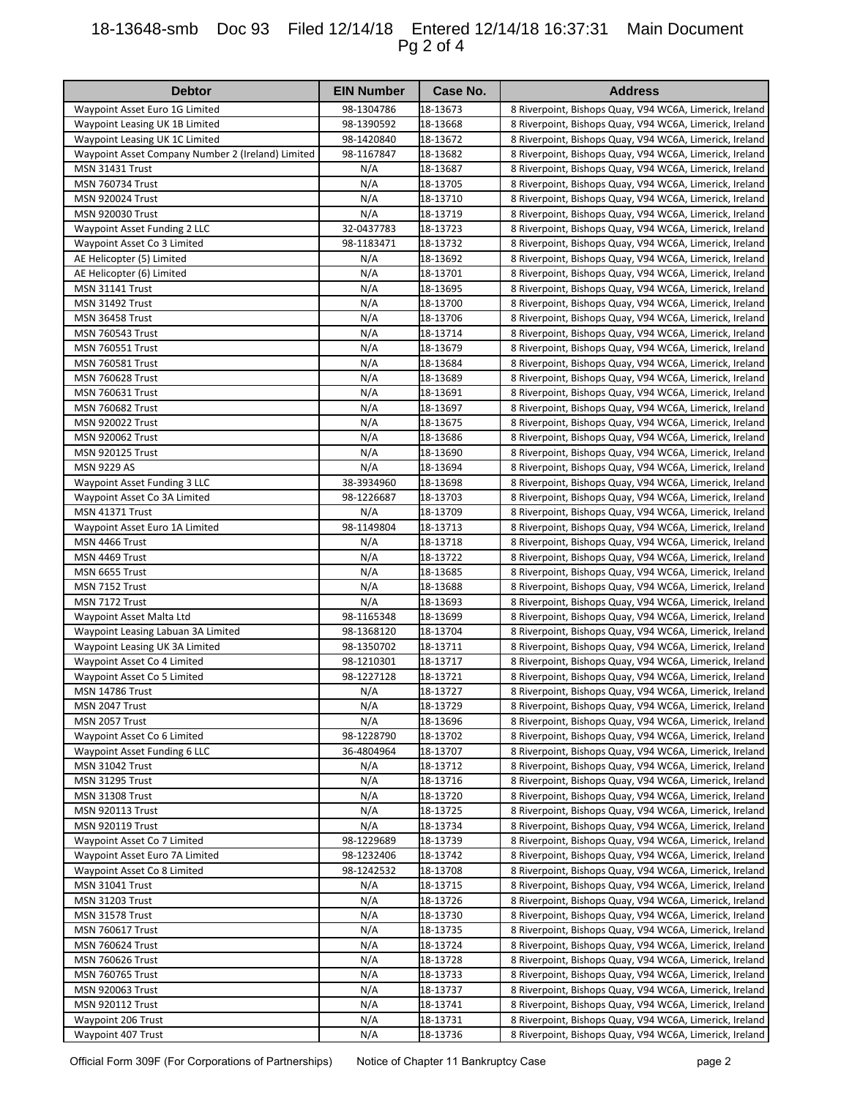## 18-13648-smb Doc 93 Filed 12/14/18 Entered 12/14/18 16:37:31 Main Document Pg 2 of 4

| <b>Debtor</b>                                     | <b>EIN Number</b> | Case No.             | <b>Address</b>                                                                                                     |
|---------------------------------------------------|-------------------|----------------------|--------------------------------------------------------------------------------------------------------------------|
| Waypoint Asset Euro 1G Limited                    | 98-1304786        | 18-13673             | 8 Riverpoint, Bishops Quay, V94 WC6A, Limerick, Ireland                                                            |
| Waypoint Leasing UK 1B Limited                    | 98-1390592        | 18-13668             | 8 Riverpoint, Bishops Quay, V94 WC6A, Limerick, Ireland                                                            |
| Waypoint Leasing UK 1C Limited                    | 98-1420840        | 18-13672             | 8 Riverpoint, Bishops Quay, V94 WC6A, Limerick, Ireland                                                            |
| Waypoint Asset Company Number 2 (Ireland) Limited | 98-1167847        | 18-13682             | 8 Riverpoint, Bishops Quay, V94 WC6A, Limerick, Ireland                                                            |
| <b>MSN 31431 Trust</b>                            | N/A               | 18-13687             | 8 Riverpoint, Bishops Quay, V94 WC6A, Limerick, Ireland                                                            |
| <b>MSN 760734 Trust</b>                           | N/A               | 18-13705             | 8 Riverpoint, Bishops Quay, V94 WC6A, Limerick, Ireland                                                            |
| <b>MSN 920024 Trust</b>                           | N/A               | 18-13710             | 8 Riverpoint, Bishops Quay, V94 WC6A, Limerick, Ireland                                                            |
| <b>MSN 920030 Trust</b>                           | N/A               | 18-13719             | 8 Riverpoint, Bishops Quay, V94 WC6A, Limerick, Ireland                                                            |
| Waypoint Asset Funding 2 LLC                      | 32-0437783        | 18-13723             | 8 Riverpoint, Bishops Quay, V94 WC6A, Limerick, Ireland                                                            |
| Waypoint Asset Co 3 Limited                       | 98-1183471        | 18-13732             | 8 Riverpoint, Bishops Quay, V94 WC6A, Limerick, Ireland                                                            |
| AE Helicopter (5) Limited                         | N/A               | 18-13692             | 8 Riverpoint, Bishops Quay, V94 WC6A, Limerick, Ireland                                                            |
| AE Helicopter (6) Limited                         | N/A               | 18-13701             | 8 Riverpoint, Bishops Quay, V94 WC6A, Limerick, Ireland                                                            |
| <b>MSN 31141 Trust</b>                            | N/A<br>N/A        | 18-13695<br>18-13700 | 8 Riverpoint, Bishops Quay, V94 WC6A, Limerick, Ireland<br>8 Riverpoint, Bishops Quay, V94 WC6A, Limerick, Ireland |
| <b>MSN 31492 Trust</b><br><b>MSN 36458 Trust</b>  | N/A               | 18-13706             | 8 Riverpoint, Bishops Quay, V94 WC6A, Limerick, Ireland                                                            |
| <b>MSN 760543 Trust</b>                           | N/A               | 18-13714             | 8 Riverpoint, Bishops Quay, V94 WC6A, Limerick, Ireland                                                            |
| <b>MSN 760551 Trust</b>                           | N/A               | 18-13679             | 8 Riverpoint, Bishops Quay, V94 WC6A, Limerick, Ireland                                                            |
| <b>MSN 760581 Trust</b>                           | N/A               | 18-13684             | 8 Riverpoint, Bishops Quay, V94 WC6A, Limerick, Ireland                                                            |
| <b>MSN 760628 Trust</b>                           | N/A               | 18-13689             | 8 Riverpoint, Bishops Quay, V94 WC6A, Limerick, Ireland                                                            |
| <b>MSN 760631 Trust</b>                           | N/A               | 18-13691             | 8 Riverpoint, Bishops Quay, V94 WC6A, Limerick, Ireland                                                            |
| <b>MSN 760682 Trust</b>                           | N/A               | 18-13697             | 8 Riverpoint, Bishops Quay, V94 WC6A, Limerick, Ireland                                                            |
| <b>MSN 920022 Trust</b>                           | N/A               | 18-13675             | 8 Riverpoint, Bishops Quay, V94 WC6A, Limerick, Ireland                                                            |
| <b>MSN 920062 Trust</b>                           | N/A               | 18-13686             | 8 Riverpoint, Bishops Quay, V94 WC6A, Limerick, Ireland                                                            |
| <b>MSN 920125 Trust</b>                           | N/A               | 18-13690             | 8 Riverpoint, Bishops Quay, V94 WC6A, Limerick, Ireland                                                            |
| <b>MSN 9229 AS</b>                                | N/A               | 18-13694             | 8 Riverpoint, Bishops Quay, V94 WC6A, Limerick, Ireland                                                            |
| Waypoint Asset Funding 3 LLC                      | 38-3934960        | 18-13698             | 8 Riverpoint, Bishops Quay, V94 WC6A, Limerick, Ireland                                                            |
| Waypoint Asset Co 3A Limited                      | 98-1226687        | 18-13703             | 8 Riverpoint, Bishops Quay, V94 WC6A, Limerick, Ireland                                                            |
| <b>MSN 41371 Trust</b>                            | N/A               | 18-13709             | 8 Riverpoint, Bishops Quay, V94 WC6A, Limerick, Ireland                                                            |
| Waypoint Asset Euro 1A Limited                    | 98-1149804        | 18-13713             | 8 Riverpoint, Bishops Quay, V94 WC6A, Limerick, Ireland                                                            |
| MSN 4466 Trust                                    | N/A               | 18-13718             | 8 Riverpoint, Bishops Quay, V94 WC6A, Limerick, Ireland                                                            |
| MSN 4469 Trust                                    | N/A               | 18-13722             | 8 Riverpoint, Bishops Quay, V94 WC6A, Limerick, Ireland                                                            |
| MSN 6655 Trust                                    | N/A               | 18-13685             | 8 Riverpoint, Bishops Quay, V94 WC6A, Limerick, Ireland                                                            |
| MSN 7152 Trust                                    | N/A               | 18-13688             | 8 Riverpoint, Bishops Quay, V94 WC6A, Limerick, Ireland                                                            |
| MSN 7172 Trust                                    | N/A               | 18-13693             | 8 Riverpoint, Bishops Quay, V94 WC6A, Limerick, Ireland                                                            |
| Waypoint Asset Malta Ltd                          | 98-1165348        | 18-13699             | 8 Riverpoint, Bishops Quay, V94 WC6A, Limerick, Ireland                                                            |
| Waypoint Leasing Labuan 3A Limited                | 98-1368120        | 18-13704             | 8 Riverpoint, Bishops Quay, V94 WC6A, Limerick, Ireland                                                            |
| Waypoint Leasing UK 3A Limited                    | 98-1350702        | 18-13711             | 8 Riverpoint, Bishops Quay, V94 WC6A, Limerick, Ireland                                                            |
| Waypoint Asset Co 4 Limited                       | 98-1210301        | 18-13717             | 8 Riverpoint, Bishops Quay, V94 WC6A, Limerick, Ireland                                                            |
| Waypoint Asset Co 5 Limited                       | 98-1227128        | 18-13721             | 8 Riverpoint, Bishops Quay, V94 WC6A, Limerick, Ireland                                                            |
| <b>MSN 14786 Trust</b>                            | N/A               | 18-13727             | 8 Riverpoint, Bishops Quay, V94 WC6A, Limerick, Ireland                                                            |
| MSN 2047 Trust                                    | N/A               | 18-13729             | 8 Riverpoint, Bishops Quay, V94 WC6A, Limerick, Ireland                                                            |
| MSN 2057 Trust                                    | N/A               | 18-13696             | 8 Riverpoint, Bishops Quay, V94 WC6A, Limerick, Ireland                                                            |
| Waypoint Asset Co 6 Limited                       | 98-1228790        | 18-13702             | 8 Riverpoint, Bishops Quay, V94 WC6A, Limerick, Ireland                                                            |
| Waypoint Asset Funding 6 LLC                      | 36-4804964        | 18-13707             | 8 Riverpoint, Bishops Quay, V94 WC6A, Limerick, Ireland                                                            |
| <b>MSN 31042 Trust</b>                            | N/A               | 18-13712             | 8 Riverpoint, Bishops Quay, V94 WC6A, Limerick, Ireland                                                            |
| <b>MSN 31295 Trust</b>                            | N/A               | 18-13716             | 8 Riverpoint, Bishops Quay, V94 WC6A, Limerick, Ireland                                                            |
| <b>MSN 31308 Trust</b>                            | N/A               | 18-13720             | 8 Riverpoint, Bishops Quay, V94 WC6A, Limerick, Ireland                                                            |
| <b>MSN 920113 Trust</b>                           | N/A               | 18-13725             | 8 Riverpoint, Bishops Quay, V94 WC6A, Limerick, Ireland                                                            |
| <b>MSN 920119 Trust</b>                           | N/A               | 18-13734             | 8 Riverpoint, Bishops Quay, V94 WC6A, Limerick, Ireland                                                            |
| Waypoint Asset Co 7 Limited                       | 98-1229689        | 18-13739             | 8 Riverpoint, Bishops Quay, V94 WC6A, Limerick, Ireland                                                            |
| Waypoint Asset Euro 7A Limited                    | 98-1232406        | 18-13742             | 8 Riverpoint, Bishops Quay, V94 WC6A, Limerick, Ireland                                                            |
| Waypoint Asset Co 8 Limited                       | 98-1242532        | 18-13708             | 8 Riverpoint, Bishops Quay, V94 WC6A, Limerick, Ireland                                                            |
| <b>MSN 31041 Trust</b>                            | N/A               | 18-13715             | 8 Riverpoint, Bishops Quay, V94 WC6A, Limerick, Ireland                                                            |
| <b>MSN 31203 Trust</b>                            | N/A               | 18-13726             | 8 Riverpoint, Bishops Quay, V94 WC6A, Limerick, Ireland                                                            |
| <b>MSN 31578 Trust</b>                            | N/A               | 18-13730             | 8 Riverpoint, Bishops Quay, V94 WC6A, Limerick, Ireland                                                            |
| <b>MSN 760617 Trust</b>                           | N/A               | 18-13735             | 8 Riverpoint, Bishops Quay, V94 WC6A, Limerick, Ireland                                                            |
| <b>MSN 760624 Trust</b>                           | N/A               | 18-13724             | 8 Riverpoint, Bishops Quay, V94 WC6A, Limerick, Ireland                                                            |
| <b>MSN 760626 Trust</b>                           | N/A               | 18-13728             | 8 Riverpoint, Bishops Quay, V94 WC6A, Limerick, Ireland                                                            |
| <b>MSN 760765 Trust</b>                           | N/A               | 18-13733             | 8 Riverpoint, Bishops Quay, V94 WC6A, Limerick, Ireland                                                            |
| MSN 920063 Trust                                  | N/A               | 18-13737             | 8 Riverpoint, Bishops Quay, V94 WC6A, Limerick, Ireland                                                            |
| <b>MSN 920112 Trust</b>                           | N/A               | 18-13741             | 8 Riverpoint, Bishops Quay, V94 WC6A, Limerick, Ireland                                                            |
| Waypoint 206 Trust                                | N/A               | 18-13731             | 8 Riverpoint, Bishops Quay, V94 WC6A, Limerick, Ireland                                                            |
| Waypoint 407 Trust                                | N/A               | 18-13736             | 8 Riverpoint, Bishops Quay, V94 WC6A, Limerick, Ireland                                                            |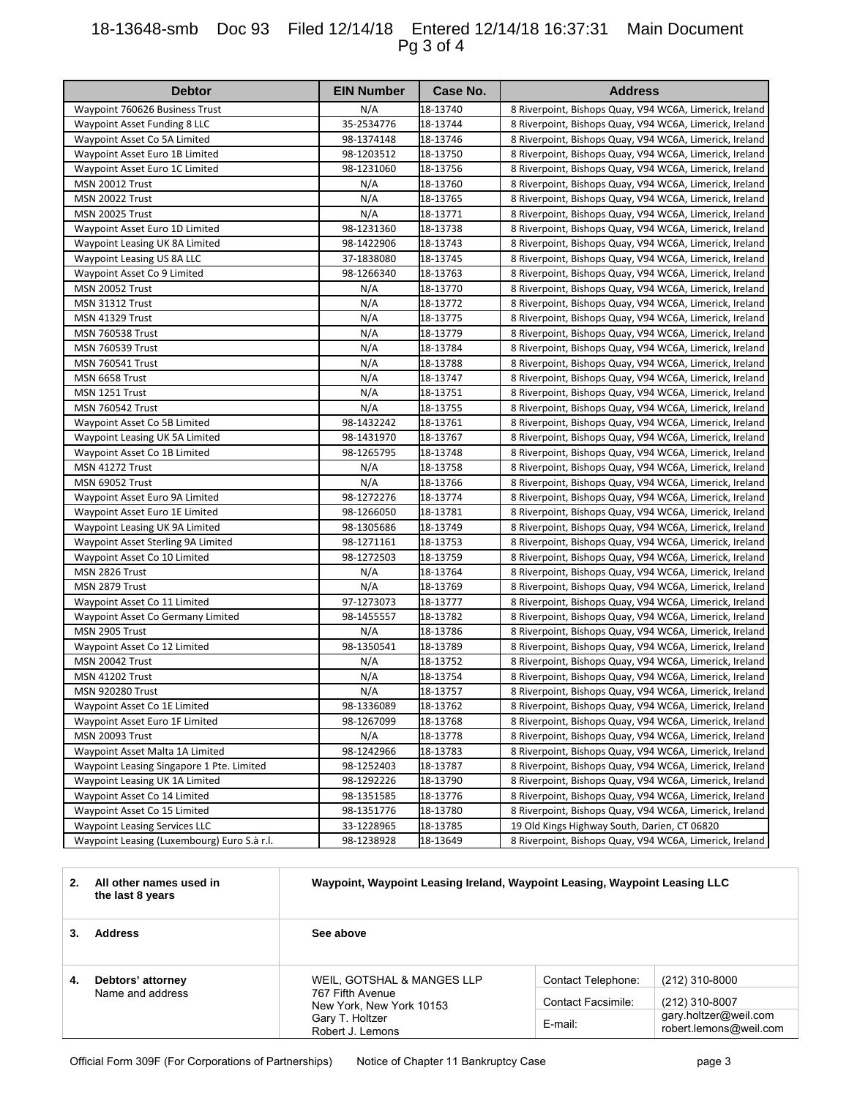## 18-13648-smb Doc 93 Filed 12/14/18 Entered 12/14/18 16:37:31 Main Document Pg 3 of 4

| <b>Debtor</b>                               | <b>EIN Number</b> | Case No. | <b>Address</b>                                          |
|---------------------------------------------|-------------------|----------|---------------------------------------------------------|
| Waypoint 760626 Business Trust              | N/A               | 18-13740 | 8 Riverpoint, Bishops Quay, V94 WC6A, Limerick, Ireland |
| Waypoint Asset Funding 8 LLC                | 35-2534776        | 18-13744 | 8 Riverpoint, Bishops Quay, V94 WC6A, Limerick, Ireland |
| Waypoint Asset Co 5A Limited                | 98-1374148        | 18-13746 | 8 Riverpoint, Bishops Quay, V94 WC6A, Limerick, Ireland |
| Waypoint Asset Euro 1B Limited              | 98-1203512        | 18-13750 | 8 Riverpoint, Bishops Quay, V94 WC6A, Limerick, Ireland |
| Waypoint Asset Euro 1C Limited              | 98-1231060        | 18-13756 | 8 Riverpoint, Bishops Quay, V94 WC6A, Limerick, Ireland |
| <b>MSN 20012 Trust</b>                      | N/A               | 18-13760 | 8 Riverpoint, Bishops Quay, V94 WC6A, Limerick, Ireland |
| <b>MSN 20022 Trust</b>                      | N/A               | 18-13765 | 8 Riverpoint, Bishops Quay, V94 WC6A, Limerick, Ireland |
| <b>MSN 20025 Trust</b>                      | N/A               | 18-13771 | 8 Riverpoint, Bishops Quay, V94 WC6A, Limerick, Ireland |
| Waypoint Asset Euro 1D Limited              | 98-1231360        | 18-13738 | 8 Riverpoint, Bishops Quay, V94 WC6A, Limerick, Ireland |
| Waypoint Leasing UK 8A Limited              | 98-1422906        | 18-13743 | 8 Riverpoint, Bishops Quay, V94 WC6A, Limerick, Ireland |
| Waypoint Leasing US 8A LLC                  | 37-1838080        | 18-13745 | 8 Riverpoint, Bishops Quay, V94 WC6A, Limerick, Ireland |
| Waypoint Asset Co 9 Limited                 | 98-1266340        | 18-13763 | 8 Riverpoint, Bishops Quay, V94 WC6A, Limerick, Ireland |
| <b>MSN 20052 Trust</b>                      | N/A               | 18-13770 | 8 Riverpoint, Bishops Quay, V94 WC6A, Limerick, Ireland |
| <b>MSN 31312 Trust</b>                      | N/A               | 18-13772 | 8 Riverpoint, Bishops Quay, V94 WC6A, Limerick, Ireland |
| <b>MSN 41329 Trust</b>                      | N/A               | 18-13775 | 8 Riverpoint, Bishops Quay, V94 WC6A, Limerick, Ireland |
| <b>MSN 760538 Trust</b>                     | N/A               | 18-13779 | 8 Riverpoint, Bishops Quay, V94 WC6A, Limerick, Ireland |
| <b>MSN 760539 Trust</b>                     | N/A               | 18-13784 | 8 Riverpoint, Bishops Quay, V94 WC6A, Limerick, Ireland |
| <b>MSN 760541 Trust</b>                     | N/A               | 18-13788 | 8 Riverpoint, Bishops Quay, V94 WC6A, Limerick, Ireland |
| MSN 6658 Trust                              | N/A               | 18-13747 | 8 Riverpoint, Bishops Quay, V94 WC6A, Limerick, Ireland |
| MSN 1251 Trust                              | N/A               | 18-13751 | 8 Riverpoint, Bishops Quay, V94 WC6A, Limerick, Ireland |
| <b>MSN 760542 Trust</b>                     | N/A               | 18-13755 | 8 Riverpoint, Bishops Quay, V94 WC6A, Limerick, Ireland |
| Waypoint Asset Co 5B Limited                | 98-1432242        | 18-13761 | 8 Riverpoint, Bishops Quay, V94 WC6A, Limerick, Ireland |
| Waypoint Leasing UK 5A Limited              | 98-1431970        | 18-13767 | 8 Riverpoint, Bishops Quay, V94 WC6A, Limerick, Ireland |
| Waypoint Asset Co 1B Limited                | 98-1265795        | 18-13748 | 8 Riverpoint, Bishops Quay, V94 WC6A, Limerick, Ireland |
| <b>MSN 41272 Trust</b>                      | N/A               | 18-13758 | 8 Riverpoint, Bishops Quay, V94 WC6A, Limerick, Ireland |
| <b>MSN 69052 Trust</b>                      | N/A               | 18-13766 | 8 Riverpoint, Bishops Quay, V94 WC6A, Limerick, Ireland |
| Waypoint Asset Euro 9A Limited              | 98-1272276        | 18-13774 | 8 Riverpoint, Bishops Quay, V94 WC6A, Limerick, Ireland |
| Waypoint Asset Euro 1E Limited              | 98-1266050        | 18-13781 | 8 Riverpoint, Bishops Quay, V94 WC6A, Limerick, Ireland |
| Waypoint Leasing UK 9A Limited              | 98-1305686        | 18-13749 | 8 Riverpoint, Bishops Quay, V94 WC6A, Limerick, Ireland |
| Waypoint Asset Sterling 9A Limited          | 98-1271161        | 18-13753 | 8 Riverpoint, Bishops Quay, V94 WC6A, Limerick, Ireland |
| Waypoint Asset Co 10 Limited                | 98-1272503        | 18-13759 | 8 Riverpoint, Bishops Quay, V94 WC6A, Limerick, Ireland |
| MSN 2826 Trust                              | N/A               | 18-13764 | 8 Riverpoint, Bishops Quay, V94 WC6A, Limerick, Ireland |
| MSN 2879 Trust                              | N/A               | 18-13769 | 8 Riverpoint, Bishops Quay, V94 WC6A, Limerick, Ireland |
| Waypoint Asset Co 11 Limited                | 97-1273073        | 18-13777 | 8 Riverpoint, Bishops Quay, V94 WC6A, Limerick, Ireland |
| Waypoint Asset Co Germany Limited           | 98-1455557        | 18-13782 | 8 Riverpoint, Bishops Quay, V94 WC6A, Limerick, Ireland |
| MSN 2905 Trust                              | N/A               | 18-13786 | 8 Riverpoint, Bishops Quay, V94 WC6A, Limerick, Ireland |
| Waypoint Asset Co 12 Limited                | 98-1350541        | 18-13789 | 8 Riverpoint, Bishops Quay, V94 WC6A, Limerick, Ireland |
| <b>MSN 20042 Trust</b>                      | N/A               | 18-13752 | 8 Riverpoint, Bishops Quay, V94 WC6A, Limerick, Ireland |
| <b>MSN 41202 Trust</b>                      | N/A               | 18-13754 | 8 Riverpoint, Bishops Quay, V94 WC6A, Limerick, Ireland |
| <b>MSN 920280 Trust</b>                     | N/A               | 18-13757 | 8 Riverpoint, Bishops Quay, V94 WC6A, Limerick, Ireland |
| Waypoint Asset Co 1E Limited                | 98-1336089        | 18-13762 | 8 Riverpoint, Bishops Quay, V94 WC6A, Limerick, Ireland |
| Waypoint Asset Euro 1F Limited              | 98-1267099        | 18-13768 | 8 Riverpoint, Bishops Quay, V94 WC6A, Limerick, Ireland |
| <b>MSN 20093 Trust</b>                      | N/A               | 18-13778 | 8 Riverpoint, Bishops Quay, V94 WC6A, Limerick, Ireland |
| Waypoint Asset Malta 1A Limited             | 98-1242966        | 18-13783 | 8 Riverpoint, Bishops Quay, V94 WC6A, Limerick, Ireland |
| Waypoint Leasing Singapore 1 Pte. Limited   | 98-1252403        | 18-13787 | 8 Riverpoint, Bishops Quay, V94 WC6A, Limerick, Ireland |
| Waypoint Leasing UK 1A Limited              | 98-1292226        | 18-13790 | 8 Riverpoint, Bishops Quay, V94 WC6A, Limerick, Ireland |
| Waypoint Asset Co 14 Limited                | 98-1351585        | 18-13776 | 8 Riverpoint, Bishops Quay, V94 WC6A, Limerick, Ireland |
| Waypoint Asset Co 15 Limited                | 98-1351776        | 18-13780 | 8 Riverpoint, Bishops Quay, V94 WC6A, Limerick, Ireland |
| <b>Waypoint Leasing Services LLC</b>        | 33-1228965        | 18-13785 | 19 Old Kings Highway South, Darien, CT 06820            |
| Waypoint Leasing (Luxembourg) Euro S.à r.l. | 98-1238928        | 18-13649 | 8 Riverpoint, Bishops Quay, V94 WC6A, Limerick, Ireland |

| 2. | All other names used in<br>the last 8 years | Waypoint, Waypoint Leasing Ireland, Waypoint Leasing, Waypoint Leasing LLC |                                                 |                                                 |  |
|----|---------------------------------------------|----------------------------------------------------------------------------|-------------------------------------------------|-------------------------------------------------|--|
|    | <b>Address</b>                              | See above                                                                  |                                                 |                                                 |  |
| 4. | Debtors' attorney<br>Name and address       | WEIL, GOTSHAL & MANGES LLP<br>767 Fifth Avenue                             | Contact Telephone:<br><b>Contact Facsimile:</b> | (212) 310-8000<br>(212) 310-8007                |  |
|    |                                             | New York, New York 10153<br>Gary T. Holtzer<br>Robert J. Lemons            | E-mail:                                         | gary.holtzer@weil.com<br>robert.lemons@weil.com |  |